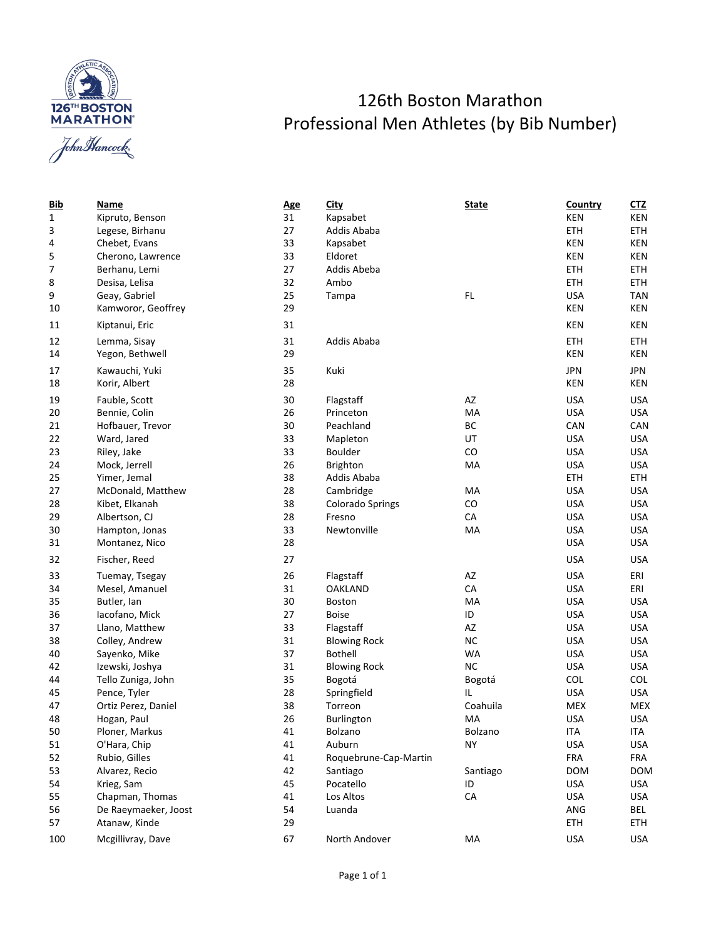

## 126th Boston Marathon Professional Men Athletes (by Bib Number)

| <u>Bib</u>   | Name                 | <u>Age</u> | <b>City</b>                   | <b>State</b> | Country    | C <sub>1</sub> Z |
|--------------|----------------------|------------|-------------------------------|--------------|------------|------------------|
| $\mathbf{1}$ | Kipruto, Benson      | 31         | Kapsabet                      |              | KEN        | KEN              |
| 3            | Legese, Birhanu      | 27         | Addis Ababa                   | ETH          | ETH        |                  |
| 4            | Chebet, Evans        | 33         | Kapsabet                      | KEN          | KEN        |                  |
| 5            | Cherono, Lawrence    | 33         | Eldoret                       | KEN          | KEN        |                  |
| 7            | Berhanu, Lemi        | 27         | Addis Abeba                   |              |            | <b>ETH</b>       |
| 8            | Desisa, Lelisa       | 32         | Ambo                          |              | <b>ETH</b> | <b>ETH</b>       |
| 9            | Geay, Gabriel        | 25         | Tampa                         | FL           | <b>USA</b> | <b>TAN</b>       |
| 10           | Kamworor, Geoffrey   | 29         |                               |              | KEN        | KEN              |
| 11           | Kiptanui, Eric       | 31         |                               |              | KEN        | KEN              |
| 12           | Lemma, Sisay         | 31         | Addis Ababa                   |              | <b>ETH</b> | <b>ETH</b>       |
| 14           | Yegon, Bethwell      | 29         |                               |              | KEN        | KEN              |
| 17           | Kawauchi, Yuki       | 35         | Kuki                          |              | <b>JPN</b> | <b>JPN</b>       |
| 18           | Korir, Albert        | 28         |                               |              | KEN        | KEN              |
| 19           | Fauble, Scott        | 30         | Flagstaff                     | AZ           | <b>USA</b> | <b>USA</b>       |
| 20           | Bennie, Colin        | 26         | Princeton                     | MA           | <b>USA</b> | <b>USA</b>       |
| 21           | Hofbauer, Trevor     | 30         | Peachland                     | BC           | CAN        | CAN              |
| 22           | Ward, Jared          | 33         | Mapleton                      | UT           | <b>USA</b> | <b>USA</b>       |
| 23           | Riley, Jake          | 33         | <b>Boulder</b>                | CO           | <b>USA</b> | <b>USA</b>       |
| 24           | Mock, Jerrell        | 26         | <b>Brighton</b>               | MA           | <b>USA</b> | <b>USA</b>       |
| 25           | Yimer, Jemal         | 38         | Addis Ababa                   |              | <b>ETH</b> | <b>ETH</b>       |
| 27           | McDonald, Matthew    | 28         | Cambridge<br>MA               |              | <b>USA</b> | <b>USA</b>       |
| 28           | Kibet, Elkanah       | 38         | CO<br><b>Colorado Springs</b> |              | <b>USA</b> | <b>USA</b>       |
| 29           | Albertson, CJ        | 28         | CA<br>Fresno                  |              | <b>USA</b> | <b>USA</b>       |
| 30           | Hampton, Jonas       | 33         | Newtonville                   | MA           | <b>USA</b> | <b>USA</b>       |
| 31           | Montanez, Nico       | 28         |                               |              | <b>USA</b> | <b>USA</b>       |
| 32           | Fischer, Reed        | 27         |                               |              | <b>USA</b> | <b>USA</b>       |
| 33           | Tuemay, Tsegay       | 26         | Flagstaff                     | AZ           | <b>USA</b> | ERI              |
| 34           | Mesel, Amanuel       | 31         | CA<br><b>OAKLAND</b>          |              | <b>USA</b> | ERI              |
| 35           | Butler, Ian          | 30         | <b>Boston</b><br>MA           |              | <b>USA</b> | <b>USA</b>       |
| 36           | lacofano, Mick       | 27         | <b>Boise</b>                  | ID           | <b>USA</b> | <b>USA</b>       |
| 37           | Llano, Matthew       | 33         | Flagstaff                     | AZ           | <b>USA</b> | <b>USA</b>       |
| 38           | Colley, Andrew       | 31         | <b>Blowing Rock</b>           | <b>NC</b>    | <b>USA</b> | <b>USA</b>       |
| 40           | Sayenko, Mike        | 37         | <b>Bothell</b>                | WA           | <b>USA</b> | <b>USA</b>       |
| 42           | Izewski, Joshya      | 31         | <b>Blowing Rock</b>           | <b>NC</b>    | <b>USA</b> | <b>USA</b>       |
| 44           | Tello Zuniga, John   | 35         | Bogotá                        | Bogotá       | COL        | COL              |
| 45           | Pence, Tyler         | 28         | Springfield                   | IL.          | <b>USA</b> | <b>USA</b>       |
| 47           | Ortiz Perez, Daniel  | 38         | Torreon                       | Coahuila     | MEX        | <b>MEX</b>       |
| 48           | Hogan, Paul          | 26         | Burlington<br>МA              |              | <b>USA</b> | <b>USA</b>       |
| 50           | Ploner, Markus       | 41         | Bolzano<br>Bolzano            |              | <b>ITA</b> | <b>ITA</b>       |
| 51           | O'Hara, Chip         | 41         | Auburn                        | NY.          | <b>USA</b> | USA              |
| 52           | Rubio, Gilles        | 41         | Roquebrune-Cap-Martin         |              | <b>FRA</b> | FRA              |
| 53           | Alvarez, Recio       | 42         | Santiago                      | Santiago     | <b>DOM</b> | <b>DOM</b>       |
| 54           | Krieg, Sam           | 45         | Pocatello                     | ID           | <b>USA</b> | <b>USA</b>       |
| 55           | Chapman, Thomas      | 41         | Los Altos                     | CA           | <b>USA</b> | <b>USA</b>       |
| 56           | De Raeymaeker, Joost | 54         | Luanda                        |              | ANG        | <b>BEL</b>       |
| 57           | Atanaw, Kinde        | 29         |                               |              | ETH        | <b>ETH</b>       |
| 100          | Mcgillivray, Dave    | 67         | North Andover                 | MA           | <b>USA</b> | USA              |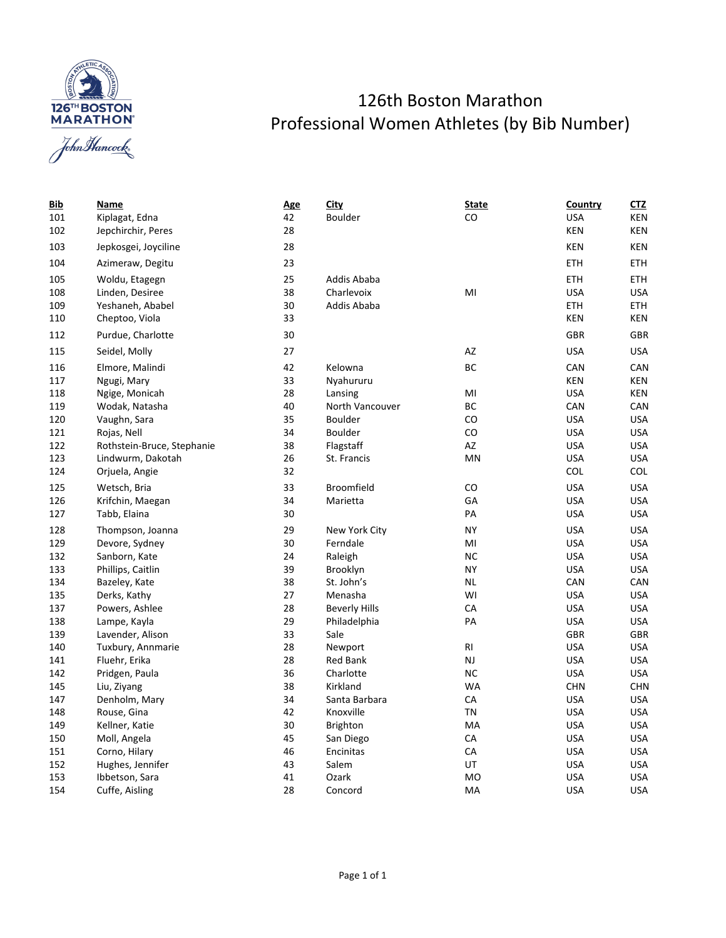



| <u>Bib</u> | Name                       | <b>Age</b> | <b>City</b>          | <b>State</b> | Country    | <u>CTZ</u> |
|------------|----------------------------|------------|----------------------|--------------|------------|------------|
| 101        | Kiplagat, Edna             | 42         | Boulder              | CO           | <b>USA</b> | KEN        |
| 102        | Jepchirchir, Peres         | 28         |                      |              | <b>KEN</b> | KEN        |
| 103        | Jepkosgei, Joyciline       | 28         |                      |              | KEN        | KEN        |
| 104        | Azimeraw, Degitu           | 23         |                      |              | ETH        | ETH.       |
| 105        | Woldu, Etagegn             | 25         | Addis Ababa          |              | <b>ETH</b> | <b>ETH</b> |
| 108        | Linden, Desiree            | 38         | Charlevoix           | MI           | <b>USA</b> | <b>USA</b> |
| 109        | Yeshaneh, Ababel           | 30         | Addis Ababa          |              | ETH        | ETH        |
| 110        | Cheptoo, Viola             | 33         |                      |              | KEN        | KEN        |
| 112        | Purdue, Charlotte          | 30         |                      |              | GBR        | <b>GBR</b> |
| 115        | Seidel, Molly              | 27         |                      | AZ           | <b>USA</b> | <b>USA</b> |
| 116        | Elmore, Malindi            | 42         | Kelowna              | BC           | CAN        | CAN        |
| 117        | Ngugi, Mary                | 33         | Nyahururu            |              | <b>KEN</b> | KEN        |
| 118        | Ngige, Monicah             | 28         | Lansing              | MI           | <b>USA</b> | KEN        |
| 119        | Wodak, Natasha             | 40         | North Vancouver      | ВC           | CAN        | CAN        |
| 120        | Vaughn, Sara               | 35         | <b>Boulder</b>       | CO           | <b>USA</b> | <b>USA</b> |
| 121        | Rojas, Nell                | 34         | Boulder              | CO           | <b>USA</b> | <b>USA</b> |
| 122        | Rothstein-Bruce, Stephanie | 38         | Flagstaff            | AZ           | <b>USA</b> | <b>USA</b> |
| 123        | Lindwurm, Dakotah          | 26         | St. Francis          | MN           | <b>USA</b> | <b>USA</b> |
| 124        | Orjuela, Angie             | 32         |                      |              | COL        | COL        |
| 125        | Wetsch, Bria               | 33         | <b>Broomfield</b>    | CO           | <b>USA</b> | <b>USA</b> |
| 126        | Krifchin, Maegan           | 34         | Marietta             | GA           | <b>USA</b> | <b>USA</b> |
| 127        | Tabb, Elaina               | 30         |                      | PA           | <b>USA</b> | <b>USA</b> |
| 128        | Thompson, Joanna           | 29         | New York City        | <b>NY</b>    | <b>USA</b> | <b>USA</b> |
| 129        | Devore, Sydney             | 30         | Ferndale             | MI           | <b>USA</b> | <b>USA</b> |
| 132        | Sanborn, Kate              | 24         | Raleigh              | ΝC           | <b>USA</b> | <b>USA</b> |
| 133        | Phillips, Caitlin          | 39         | Brooklyn             | <b>NY</b>    | <b>USA</b> | <b>USA</b> |
| 134        | Bazeley, Kate              | 38         | St. John's           | NL           | CAN        | CAN        |
| 135        | Derks, Kathy               | 27         | Menasha              | WI           | <b>USA</b> | <b>USA</b> |
| 137        | Powers, Ashlee             | 28         | <b>Beverly Hills</b> | CA           | <b>USA</b> | <b>USA</b> |
| 138        | Lampe, Kayla               | 29         | Philadelphia         | PA           | <b>USA</b> | <b>USA</b> |
| 139        | Lavender, Alison           | 33         | Sale                 |              | GBR        | GBR        |
| 140        | Tuxbury, Annmarie          | 28         | Newport              | RI           | <b>USA</b> | <b>USA</b> |
| 141        | Fluehr, Erika              | 28         | <b>Red Bank</b>      | NJ           | <b>USA</b> | <b>USA</b> |
| 142        | Pridgen, Paula             | 36         | Charlotte            | <b>NC</b>    | <b>USA</b> | <b>USA</b> |
| 145        | Liu, Ziyang                | 38         | Kirkland             | WA           | CHN        | <b>CHN</b> |
| 147        | Denholm, Mary              | 34         | Santa Barbara        | CA           | <b>USA</b> | <b>USA</b> |
| 148        | Rouse, Gina                | 42         | Knoxville            | TN           | <b>USA</b> | <b>USA</b> |
| 149        | Kellner, Katie             | 30         | <b>Brighton</b>      | MA           | <b>USA</b> | <b>USA</b> |
| 150        | Moll, Angela               | 45         | San Diego            | CA           | <b>USA</b> | <b>USA</b> |
| 151        | Corno, Hilary              | 46         | Encinitas            | CA           | <b>USA</b> | <b>USA</b> |
| 152        | Hughes, Jennifer           | 43         | Salem                | UT           | <b>USA</b> | <b>USA</b> |
| 153        | Ibbetson, Sara             | 41         | Ozark                | <b>MO</b>    | <b>USA</b> | <b>USA</b> |
| 154        | Cuffe, Aisling             | 28         | Concord              | MA           | <b>USA</b> | <b>USA</b> |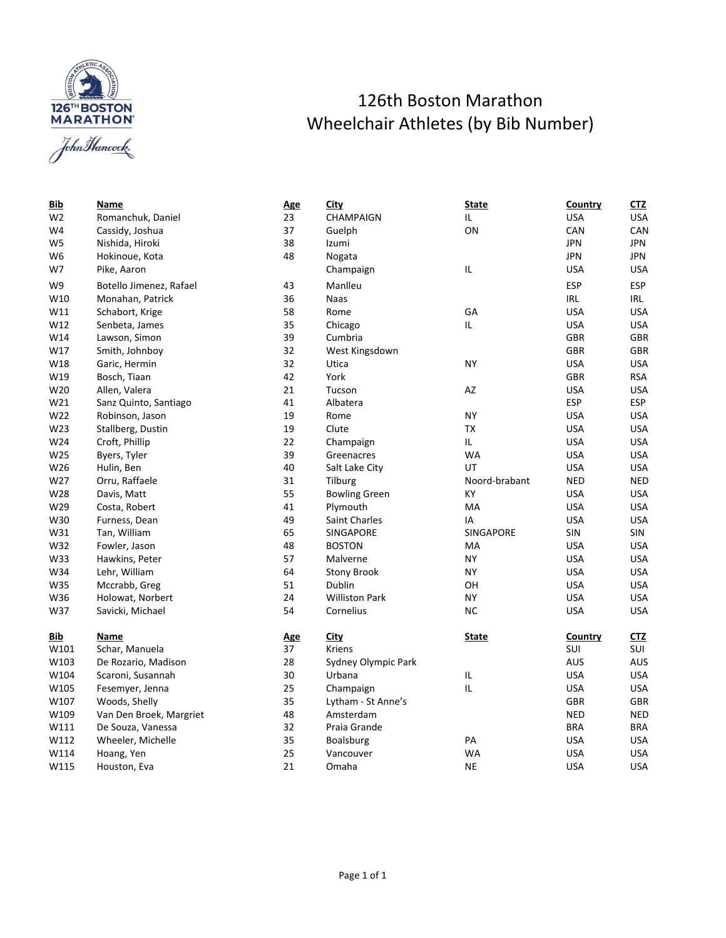

## 126th Boston Marathon Wheelchair Athletes (by Bib Number)

| W2             | Romanchuk, Daniel       | $\overline{2}$          |
|----------------|-------------------------|-------------------------|
| W4             | Cassidy, Joshua         | 3                       |
| W <sub>5</sub> | Nishida, Hiroki         | 3                       |
| W6             | Hokinoue, Kota          | 4                       |
| W7             | Pike, Aaron             |                         |
| W9             | Botello Jimenez, Rafael | 4                       |
| W10            | Monahan, Patrick        | 3                       |
| W11            | Schabort, Krige         | 5                       |
| W12            | Senbeta, James          | 3                       |
| W14            | Lawson, Simon           | 3                       |
| W17            | Smith, Johnboy          | 3                       |
| W18            | Garic, Hermin           | 3                       |
| W19            | Bosch, Tiaan            | 4                       |
| W20            | Allen, Valera           | $\overline{\mathbf{c}}$ |
| W21            | Sanz Quinto, Santiago   | 4                       |
| W22            | Robinson, Jason         | 1                       |
| W23            | Stallberg, Dustin       | $\overline{1}$          |
| W24            | Croft, Phillip          | $\overline{2}$          |
| W25            | Byers, Tyler            | 3                       |
| W26            | Hulin, Ben              | 4                       |
| W27            | Orru, Raffaele          | 3                       |
| W28            | Davis, Matt             | 5                       |
| W29            | Costa, Robert           | 4                       |
| W30            | Furness, Dean           | 4                       |
| W31            | Tan, William            | 6                       |
| W32            | Fowler, Jason           | 4                       |
| W33            | Hawkins, Peter          | 5                       |
| W34            | Lehr, William           | 6                       |
| W35            | Mccrabb, Greg           | 5                       |
| W36            | Holowat, Norbert        | $\overline{c}$          |
| W37            | Savicki, Michael        | 5                       |
| Bib            | Name                    |                         |
| W101           | Schar, Manuela          | A<br>3                  |
| W103           | De Rozario, Madison     | $\overline{\mathbf{c}}$ |
| W104           | Scaroni, Susannah       | 3                       |
| W105           | Fesemyer, Jenna         | $\overline{c}$          |
| W107           | Woods, Shelly           | 3                       |
| W109           | Van Den Broek, Margriet | 4                       |
|                |                         |                         |

| <u>Bib</u>     | Name                    | <b>Age</b>      | <b>City</b>                                                                                                                | State        | Country    | C <sub>1</sub> Z |
|----------------|-------------------------|-----------------|----------------------------------------------------------------------------------------------------------------------------|--------------|------------|------------------|
| W <sub>2</sub> | Romanchuk, Daniel       | 23<br>CHAMPAIGN |                                                                                                                            | IL           | <b>USA</b> | <b>USA</b>       |
| W4             | Cassidy, Joshua         |                 | 37<br>ON<br>Guelph                                                                                                         |              | CAN        | CAN              |
| W5             | Nishida, Hiroki         | 38              | Izumi                                                                                                                      |              | <b>JPN</b> | <b>JPN</b>       |
| W6             | Hokinoue, Kota          | 48              | Nogata                                                                                                                     |              | <b>JPN</b> | JPN              |
| W7             | Pike, Aaron             |                 | Champaign                                                                                                                  | IL           | <b>USA</b> | <b>USA</b>       |
| W9             | Botello Jimenez, Rafael | 43              | Manlleu                                                                                                                    |              | <b>ESP</b> | <b>ESP</b>       |
| W10            | Monahan, Patrick        | 36              | Naas                                                                                                                       |              | IRL        | IRL              |
| W11            | Schabort, Krige         | 58              | Rome                                                                                                                       | GA           | <b>USA</b> | <b>USA</b>       |
| W12            | Senbeta, James          | 35              | Chicago                                                                                                                    | IL           | <b>USA</b> | <b>USA</b>       |
| W14            | Lawson, Simon           | 39              | Cumbria                                                                                                                    |              | GBR        | <b>GBR</b>       |
| W17            | Smith, Johnboy          | 32              | West Kingsdown                                                                                                             |              | <b>GBR</b> | <b>GBR</b>       |
| W18            | Garic, Hermin           | 32              | Utica                                                                                                                      | NY           | <b>USA</b> | <b>USA</b>       |
| W19            | Bosch, Tiaan            | 42              | York                                                                                                                       |              | <b>GBR</b> | <b>RSA</b>       |
| W20            | Allen, Valera           | 21              | Tucson                                                                                                                     | AZ           | <b>USA</b> | <b>USA</b>       |
| W21            | Sanz Quinto, Santiago   | 41              | Albatera                                                                                                                   |              | ESP        | <b>ESP</b>       |
| W22            | Robinson, Jason         | 19              | Rome                                                                                                                       | <b>NY</b>    | <b>USA</b> | <b>USA</b>       |
| W23            | Stallberg, Dustin       | 19              | Clute                                                                                                                      | TX           | <b>USA</b> | <b>USA</b>       |
| W24            | Croft, Phillip          | 22              | Champaign                                                                                                                  | IL.          | <b>USA</b> | <b>USA</b>       |
| W25            | Byers, Tyler            |                 | 39<br>WA<br>Greenacres<br>40<br>UT<br>Salt Lake City<br>31<br>Tilburg<br>Noord-brabant<br>55<br>KY<br><b>Bowling Green</b> |              | <b>USA</b> | <b>USA</b>       |
| W26            | Hulin, Ben              |                 |                                                                                                                            |              | <b>USA</b> | <b>USA</b>       |
| W27            | Orru, Raffaele          |                 |                                                                                                                            |              | <b>NED</b> | <b>NED</b>       |
| W28            | Davis, Matt             |                 |                                                                                                                            |              | <b>USA</b> | <b>USA</b>       |
| W29            | Costa, Robert           | 41              | MA<br>Plymouth                                                                                                             |              | <b>USA</b> | <b>USA</b>       |
| W30            | Furness, Dean           | 49              | <b>Saint Charles</b><br>IA                                                                                                 |              | <b>USA</b> | <b>USA</b>       |
| W31            | Tan, William            | 65              | SINGAPORE<br>SINGAPORE                                                                                                     |              | SIN        | <b>SIN</b>       |
| W32            | Fowler, Jason           | 48              | <b>BOSTON</b>                                                                                                              | MA           | <b>USA</b> | <b>USA</b>       |
| W33            | Hawkins, Peter          | 57              | Malverne                                                                                                                   | <b>NY</b>    | <b>USA</b> | <b>USA</b>       |
| W34            | Lehr, William           | 64              | <b>Stony Brook</b>                                                                                                         | NY           | <b>USA</b> | <b>USA</b>       |
| W35            | Mccrabb, Greg           | 51              | Dublin                                                                                                                     | OН           | <b>USA</b> | <b>USA</b>       |
| W36            | Holowat, Norbert        | 24              | <b>Williston Park</b>                                                                                                      | <b>NY</b>    | <b>USA</b> | <b>USA</b>       |
| W37            | Savicki, Michael        | 54              | Cornelius                                                                                                                  | <b>NC</b>    | <b>USA</b> | <b>USA</b>       |
| <u>Bib</u>     | Name                    | <u>Age</u>      | <b>City</b>                                                                                                                | <b>State</b> | Country    | <u>CTZ</u>       |
| W101           | Schar, Manuela          | 37              | Kriens                                                                                                                     |              | SUI        | <b>SUI</b>       |
| W103           | De Rozario, Madison     | 28              | Sydney Olympic Park                                                                                                        |              | <b>AUS</b> | AUS              |
| W104           | Scaroni, Susannah       | 30              | Urbana                                                                                                                     | IL           | <b>USA</b> | <b>USA</b>       |
| W105           | Fesemyer, Jenna         | 25              | Champaign                                                                                                                  | IL           | <b>USA</b> | <b>USA</b>       |
| W107           | Woods, Shelly           | 35              | Lytham - St Anne's                                                                                                         |              | <b>GBR</b> | <b>GBR</b>       |
| W109           | Van Den Broek, Margriet | 48              | Amsterdam                                                                                                                  |              | <b>NED</b> | <b>NED</b>       |
| W111           | De Souza, Vanessa       | 32              | Praia Grande                                                                                                               |              | <b>BRA</b> | <b>BRA</b>       |
| W112           | Wheeler, Michelle       | 35              | PA<br><b>Boalsburg</b>                                                                                                     |              | <b>USA</b> | <b>USA</b>       |
| W114           | Hoang, Yen              | 25              | Vancouver<br>WA                                                                                                            |              | <b>USA</b> | <b>USA</b>       |
| W115           | Houston, Eva            | 21              | Omaha                                                                                                                      | <b>NE</b>    | <b>USA</b> | <b>USA</b>       |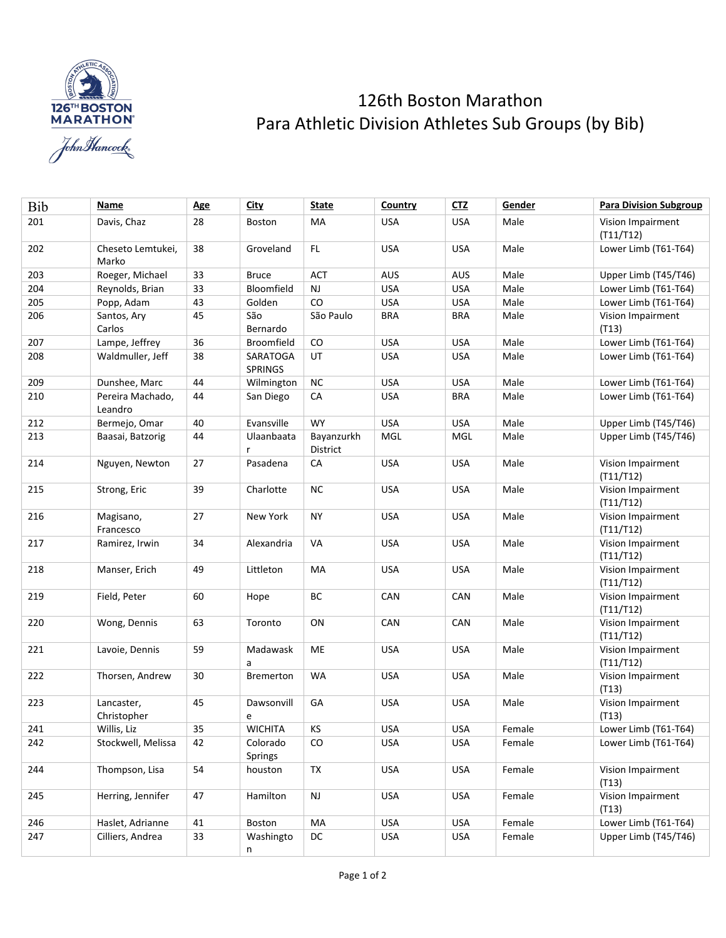

## 126th Boston Marathon Para Athletic Division Athletes Sub Groups (by Bib)

| Bib | Name                        | <b>Age</b> | <u>City</u>                | State                  | Country    | CTZ        | Gender | <b>Para Division Subgroup</b>  |
|-----|-----------------------------|------------|----------------------------|------------------------|------------|------------|--------|--------------------------------|
| 201 | Davis, Chaz                 | 28         | Boston                     | MA                     | <b>USA</b> | <b>USA</b> | Male   | Vision Impairment<br>(T11/T12) |
| 202 | Cheseto Lemtukei,<br>Marko  | 38         | Groveland                  | FL.                    | <b>USA</b> | <b>USA</b> | Male   | Lower Limb (T61-T64)           |
| 203 | Roeger, Michael             | 33         | <b>Bruce</b>               | <b>ACT</b>             | <b>AUS</b> | AUS        | Male   | Upper Limb (T45/T46)           |
| 204 | Reynolds, Brian             | 33         | Bloomfield                 | <b>NJ</b>              | <b>USA</b> | <b>USA</b> | Male   | Lower Limb (T61-T64)           |
| 205 | Popp, Adam                  | 43         | Golden                     | CO                     | <b>USA</b> | <b>USA</b> | Male   | Lower Limb (T61-T64)           |
| 206 | Santos, Ary<br>Carlos       | 45         | São<br>Bernardo            | São Paulo              | <b>BRA</b> | <b>BRA</b> | Male   | Vision Impairment<br>(T13)     |
| 207 | Lampe, Jeffrey              | 36         | <b>Broomfield</b>          | CO                     | <b>USA</b> | <b>USA</b> | Male   | Lower Limb (T61-T64)           |
| 208 | Waldmuller, Jeff            | 38         | SARATOGA<br><b>SPRINGS</b> | UT                     | <b>USA</b> | <b>USA</b> | Male   | Lower Limb (T61-T64)           |
| 209 | Dunshee, Marc               | 44         | Wilmington                 | <b>NC</b>              | <b>USA</b> | <b>USA</b> | Male   | Lower Limb (T61-T64)           |
| 210 | Pereira Machado,<br>Leandro | 44         | San Diego                  | CA                     | <b>USA</b> | <b>BRA</b> | Male   | Lower Limb (T61-T64)           |
| 212 | Bermejo, Omar               | 40         | Evansville                 | <b>WY</b>              | <b>USA</b> | <b>USA</b> | Male   | Upper Limb (T45/T46)           |
| 213 | Baasai, Batzorig            | 44         | Ulaanbaata<br>r            | Bayanzurkh<br>District | MGL        | MGL        | Male   | Upper Limb (T45/T46)           |
| 214 | Nguyen, Newton              | 27         | Pasadena                   | CA                     | <b>USA</b> | <b>USA</b> | Male   | Vision Impairment<br>(T11/T12) |
| 215 | Strong, Eric                | 39         | Charlotte                  | <b>NC</b>              | <b>USA</b> | <b>USA</b> | Male   | Vision Impairment<br>(T11/T12) |
| 216 | Magisano,<br>Francesco      | 27         | New York                   | <b>NY</b>              | <b>USA</b> | <b>USA</b> | Male   | Vision Impairment<br>(T11/T12) |
| 217 | Ramirez, Irwin              | 34         | Alexandria                 | VA                     | <b>USA</b> | <b>USA</b> | Male   | Vision Impairment<br>(T11/T12) |
| 218 | Manser, Erich               | 49         | Littleton                  | MA                     | <b>USA</b> | <b>USA</b> | Male   | Vision Impairment<br>(T11/T12) |
| 219 | Field, Peter                | 60         | Hope                       | BС                     | CAN        | CAN        | Male   | Vision Impairment<br>(T11/T12) |
| 220 | Wong, Dennis                | 63         | Toronto                    | ON                     | CAN        | CAN        | Male   | Vision Impairment<br>(T11/T12) |
| 221 | Lavoie, Dennis              | 59         | Madawask<br>a              | МE                     | <b>USA</b> | <b>USA</b> | Male   | Vision Impairment<br>(T11/T12) |
| 222 | Thorsen, Andrew             | 30         | <b>Bremerton</b>           | <b>WA</b>              | <b>USA</b> | <b>USA</b> | Male   | Vision Impairment<br>(T13)     |
| 223 | Lancaster,<br>Christopher   | 45         | Dawsonvill<br>e            | GA                     | <b>USA</b> | <b>USA</b> | Male   | Vision Impairment<br>(T13)     |
| 241 | Willis, Liz                 | 35         | <b>WICHITA</b>             | KS                     | <b>USA</b> | USA        | Female | Lower Limb (T61-T64)           |
| 242 | Stockwell, Melissa          | 42         | Colorado<br>Springs        | CO                     | <b>USA</b> | <b>USA</b> | Female | Lower Limb (T61-T64)           |
| 244 | Thompson, Lisa              | 54         | houston                    | TX                     | <b>USA</b> | <b>USA</b> | Female | Vision Impairment<br>(T13)     |
| 245 | Herring, Jennifer           | 47         | Hamilton                   | <b>NJ</b>              | <b>USA</b> | <b>USA</b> | Female | Vision Impairment<br>(T13)     |
| 246 | Haslet, Adrianne            | 41         | Boston                     | MA                     | <b>USA</b> | <b>USA</b> | Female | Lower Limb (T61-T64)           |
| 247 | Cilliers, Andrea            | 33         | Washingto<br>n             | DC                     | <b>USA</b> | <b>USA</b> | Female | Upper Limb (T45/T46)           |